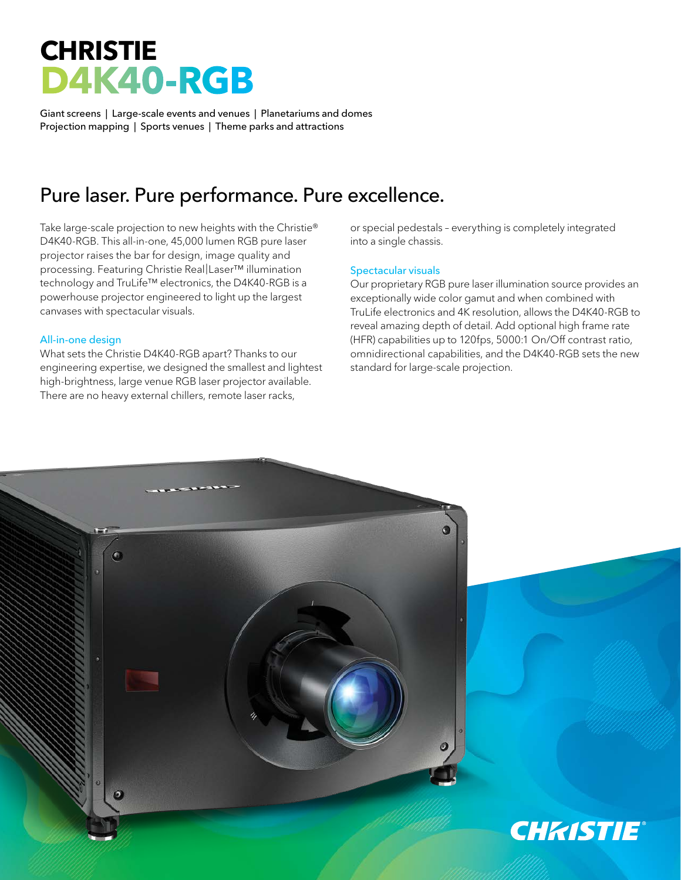# **CHRISTIE D4K40-RGB**

Giant screens | Large-scale events and venues | Planetariums and domes Projection mapping | Sports venues | Theme parks and attractions

## Pure laser. Pure performance. Pure excellence.

Take large-scale projection to new heights with the Christie® D4K40-RGB. This all-in-one, 45,000 lumen RGB pure laser projector raises the bar for design, image quality and processing. Featuring Christie Real|Laser™ illumination technology and TruLife™ electronics, the D4K40-RGB is a powerhouse projector engineered to light up the largest canvases with spectacular visuals.

### All-in-one design

What sets the Christie D4K40-RGB apart? Thanks to our engineering expertise, we designed the smallest and lightest high-brightness, large venue RGB laser projector available. There are no heavy external chillers, remote laser racks,

or special pedestals – everything is completely integrated into a single chassis.

### Spectacular visuals

Our proprietary RGB pure laser illumination source provides an exceptionally wide color gamut and when combined with TruLife electronics and 4K resolution, allows the D4K40-RGB to reveal amazing depth of detail. Add optional high frame rate (HFR) capabilities up to 120fps, 5000:1 On/Off contrast ratio, omnidirectional capabilities, and the D4K40-RGB sets the new standard for large-scale projection.